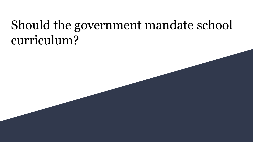# Should the government mandate school curriculum?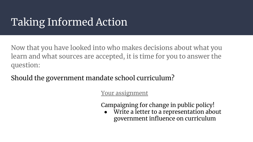# Taking Informed Action

Now that you have looked into who makes decisions about what you learn and what sources are accepted, it is time for you to answer the question:

Should the government mandate school curriculum?

Your assignment

Campaigning for change in public policy!

Write a letter to a representation about government influence on curriculum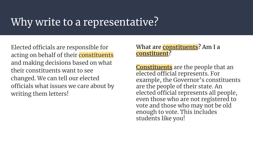## Why write to a representative?

Elected officials are responsible for acting on behalf of their constituents and making decisions based on what their constituents want to see changed. We can tell our elected officials what issues we care about by writing them letters!

#### **What are constituents? Am I a constituent?**

**Constituents** are the people that an elected official represents. For example, the Governor's constituents are the people of their state. An elected official represents all people, even those who are not registered to vote and those who may not be old enough to vote. This includes students like you!